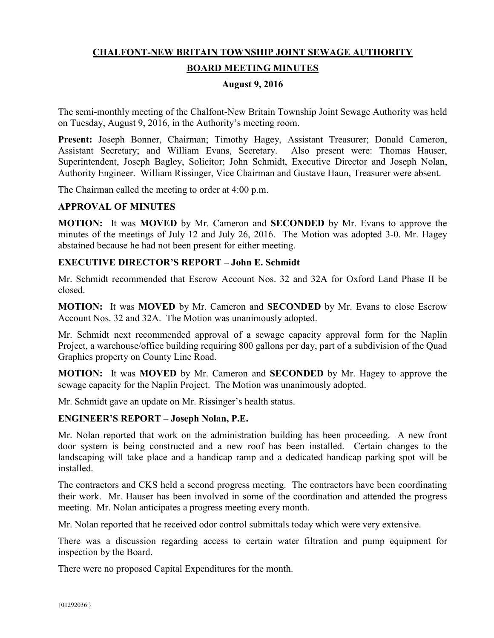# **CHALFONT-NEW BRITAIN TOWNSHIP JOINT SEWAGE AUTHORITY BOARD MEETING MINUTES**

## **August 9, 2016**

The semi-monthly meeting of the Chalfont-New Britain Township Joint Sewage Authority was held on Tuesday, August 9, 2016, in the Authority's meeting room.

**Present:** Joseph Bonner, Chairman; Timothy Hagey, Assistant Treasurer; Donald Cameron, Assistant Secretary; and William Evans, Secretary. Also present were: Thomas Hauser, Superintendent, Joseph Bagley, Solicitor; John Schmidt, Executive Director and Joseph Nolan, Authority Engineer. William Rissinger, Vice Chairman and Gustave Haun, Treasurer were absent.

The Chairman called the meeting to order at 4:00 p.m.

## **APPROVAL OF MINUTES**

**MOTION:** It was **MOVED** by Mr. Cameron and **SECONDED** by Mr. Evans to approve the minutes of the meetings of July 12 and July 26, 2016. The Motion was adopted 3-0. Mr. Hagey abstained because he had not been present for either meeting.

## **EXECUTIVE DIRECTOR'S REPORT – John E. Schmidt**

Mr. Schmidt recommended that Escrow Account Nos. 32 and 32A for Oxford Land Phase II be closed.

**MOTION:** It was **MOVED** by Mr. Cameron and **SECONDED** by Mr. Evans to close Escrow Account Nos. 32 and 32A. The Motion was unanimously adopted.

Mr. Schmidt next recommended approval of a sewage capacity approval form for the Naplin Project, a warehouse/office building requiring 800 gallons per day, part of a subdivision of the Quad Graphics property on County Line Road.

**MOTION:** It was **MOVED** by Mr. Cameron and **SECONDED** by Mr. Hagey to approve the sewage capacity for the Naplin Project. The Motion was unanimously adopted.

Mr. Schmidt gave an update on Mr. Rissinger's health status.

## **ENGINEER'S REPORT – Joseph Nolan, P.E.**

Mr. Nolan reported that work on the administration building has been proceeding. A new front door system is being constructed and a new roof has been installed. Certain changes to the landscaping will take place and a handicap ramp and a dedicated handicap parking spot will be installed.

The contractors and CKS held a second progress meeting. The contractors have been coordinating their work. Mr. Hauser has been involved in some of the coordination and attended the progress meeting. Mr. Nolan anticipates a progress meeting every month.

Mr. Nolan reported that he received odor control submittals today which were very extensive.

There was a discussion regarding access to certain water filtration and pump equipment for inspection by the Board.

There were no proposed Capital Expenditures for the month.